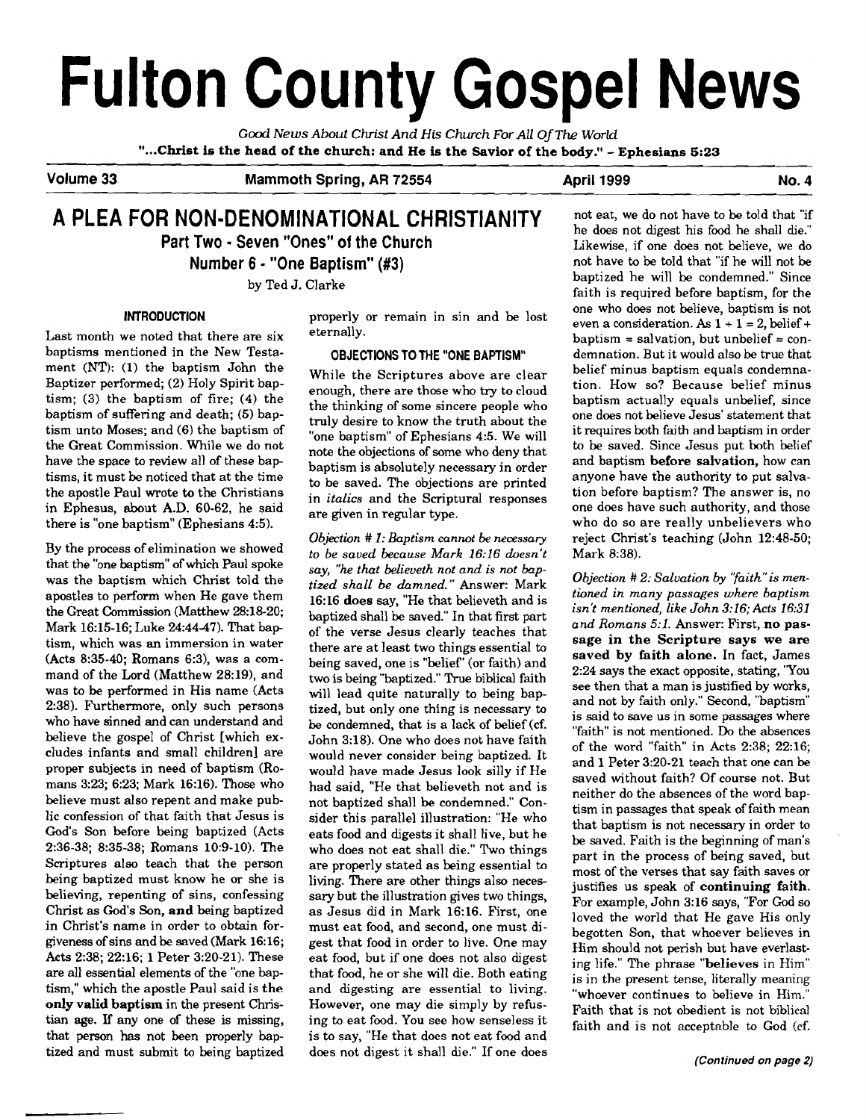# **Fulton County Gospel News**

*Good News About Christ And* **His** *Church For All Of The World*  **"...Christ is the head** of **the church: and He is the** Savior of **the body."** - **Ephesians 5:23** 

Volume 33 Mammoth Spring, AR 72554 **April 1999** No. 4 **No. 4 Magnus** 

# **A PLEA FOR NON-DENOMINATIONAL CHRISTIANITY Part Two** - **Seven "Ones" of the Church Number 6** - **"One Baptism" (#3)**

by Ted J. Clarke

#### **INTRODUCTION**

Last month we noted that there are six baptisms mentioned in the New Testament (NT): (1) the baptism John the Baptizer performed; (2) Holy Spirit baptism; (3) the baptism of fire; (4) the baptism of suffering and death; (5) baptism unto Moses; and (6) the baptism of the Great Commission. While we do not have the space to review all of these baptisms, it must be noticed that at the time the apostle Paul wrote to the Christians in Ephesus, about A.D. 60-62, he said there is "one baptism" (Ephesians 4:5).

By the process of elimination we showed that the "one baptism" of which Paul spoke was the baptism which Christ told the apostles to perform when He gave them the Great Commission (Matthew 28:18-20; Mark 16:15-16; Luke 24:4447). That **bap**  tism, which was an immersion in water (Acts 8:35-40; Romans 6:3), was a command of the Lord (Matthew 28:19). and was to be performed in His name (Acts 238). Furthermore, only such persons who have sinned and can understand and believe the gospel of Christ [which excludes infants and small children] are proper subjects in need of baptism (Romans 323; 6:23; Mark 16:16). Those who believe must also repent and make public confession of that faith that Jesus is God's Son before being baptized (Acts 2:36-38; 8:35-38; Romans 10:9-10). The Scriptures also teach that the person being baptized must know he or she is believing, repenting of sins, confessing Christ as God's Son, and being baptized in Christ's name in order to obtain forgiveness of sins and be saved (Mark 16:16; **Acts** 2:38; 22:16; 1 Peter 3:20-21). These are all essential elements of the "one baptism," which the apostle Paul said is the only valid baptism in the present Christian age. If any one of these is missing, that person **has** not been properly baptized and must submit to being baptized properly or remain in sin and be lost eternally.

## **OBJECTIONS TO THE "ONE BAPTISM"**

While the Scriptures above are clear enough, there are those who try to cloud the thinking of some sincere people who truly desire to know the truth about the "one baptism" of Ephesians 4:5. We will note the objections of some who deny that baptism is absolutely necessary in order to be saved. The objections are printed in *italics* and the Scriptural responses are given in regular type.

*Objection* # *1: Baptism cannot be necessary to be saved because Mark 16:16 doesn't say, "he that believeth not and is not baptized shall be damned."* Answer: Mark 16:16 does say, "He that believeth and is baptized shall be saved." In that first part of the verse Jesus clearly teaches that there are at least two things essential to being saved, one is "belief' (or faith) and two is being "baptized." True biblical faith will lead quite naturally to being baptized, but only one thing is necessary to be condemned, that is a lack of belief (cf. John 3:18). One who does not have faith would never consider being baptized. It would have made Jesus look silly if He had said, "He that believeth not and is not baptized shall be condemned." Consider this parallel illustration: "He who eats food and digests it shall live, but he who does not eat shall die." Two things are properly stated as being essential to living. There are other things also necessary but the illustration gives two things, as Jesus did in Mark 16:16. First, one must eat food, and second, one must digest that food in order to live. One may eat food, but if one does not also digest that food, he or she will die. Both eating and digesting are essential to living. However, one may die simply by refusing to eat food. You see how senseless it is to say, "He that does not eat food and

not eat, we do not have to be told that "if he does not digest his food he shall die." Likewise, if one does not believe, we do not have to be told that "if he will not be baptized he will be condemned." Since faith is required before baptism, for the one who does not believe, baptism is not even a consideration. As  $1 + 1 = 2$ , belief +  $b$ aptism = salvation, but unbelief = condemnation. But it would also be true that belief minus baptism equals condemnation. How so? Because belief minus baptism actually equals unbelief, since one does not believe Jesus' statement that it requires both faith and baptism in order to be saved. Since Jesus put both belief and baptism before salvation, how can anyone have the authority to put salvation before baptism? The answer is, no one does have such authority, and those who do so are really unbelievers who reject Christ's teaching (John 12:48-50; Mark 8:38).

*Objection* #2: Salvation by "faith" is men*tioned in many passages where baptism isn't mentioned, like John 3:16;Acts 16:31 and Romans 5:l.* Answer: First, no passage in the Scripture says we are saved by faith alone. In fact, James 224 says the exact opposite, stating, 'You see then that a man is justified by works, and not by faith only." Second, "baptism" is said to save us in some passages where "faith" is not mentioned. Do the absences of the word "faith" in Acts 2:38; 2216; and 1 Peter 3:20-21 teach that one can be saved without faith? Of course not. But neither do the absences of the word baptism in passages that speak of faith mean that baptismis not necessary in order to be saved. Faith is the beginning of man's part in the process of being saved, but most of the verses that say faith saves or justifies us speak of continuing faith. For example, John 3:16 says, "For God so loved the world that He gave His only begotten Son, that whoever believes in Him should not perish but have everlasting life." The phrase "believes in Him" is in the present tense, literally meaning "whoever continues to believe in Him." Faith that is not obedient is not biblical faith and is not acceptable to God (cf.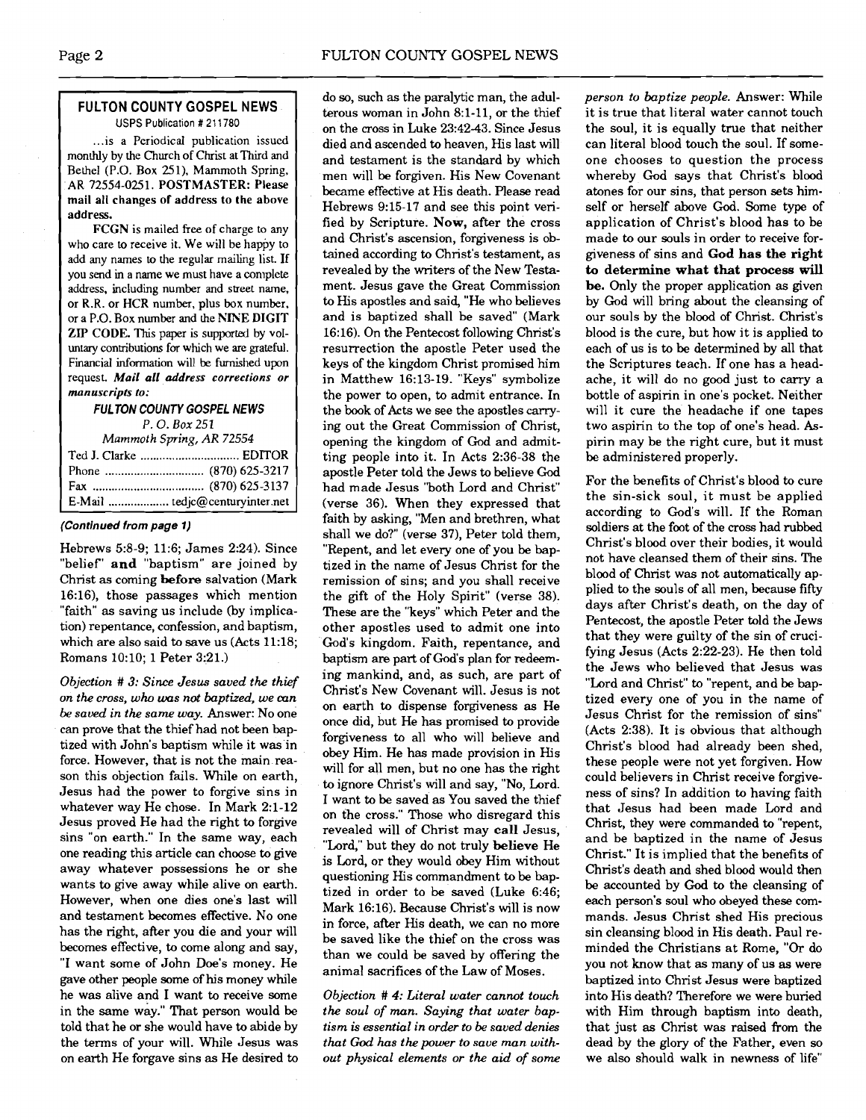#### **FULTON COUNTY GOSPEL NEWS**  USPS Publication # 211780

... is a Periodical publication issued monthly by the Church of Christ at Third and Bethel (P.O. Box 251), Mammoth Spring, AR 72554-025 1. POSTMASTER: Please mail all changes of address to the above address.

FCCN is mailed free of charge to any who care to receive it. We will be happy to add any names to the regular mailing list. If you send in a name we must have a conplete address, including number and street name, or R.R. or HCR number, plus **box** number, or a P.O. Box number and the **NINE** DIGIT ZIP CODE. This paper is supported by voluntary contributions for which we are grateful. Financial information will be furnished upon request. **Mail all address corrections or manuscripts to:** 

#### **FULTON COUNTY GOSPEL NEWS**  *P.* 0. *Box* 251

*Mammoth* **Spring,** *AR* 72554 Ted J. Clarke ............................... EDITOR Phone ............................... (870) 625-3217 Fax ................................... (870) 625-3137 E-Mail ................... tedjc@centuryinter.net

#### **(Continued from page 1)**

Hebrews 5:8-9; 11:6; James 2:24). Since "belief' **and** "baptism" are joined by Christ as coming **before** salvation (Mark 16:16), those passages which mention "faith" as saving us include (by implication) repentance, confession, and baptism, which are also said to save us (Acts 11:18; Romans 10:lO; 1 Peter 3:21.)

*Objection* # *3: Since Jesus saved the thief*   $on$  *the cross, who was not baptized, we can be saved in the same way.* Answer: No one can prove that the thief had not been baptized with John's baptism while it was in force. However, that is not the main reason this objection fails. While on earth, Jesus had the power to forgive sins in whatever way He chose. In Mark 2:l-12 Jesus proved He had the right to forgive sins "on earth." In the same way, each one reading this article can choose to give away whatever possessions he or she wants to give away while alive on earth. However, when one dies one's last will and testament becomes effective. No one has the right, atter you die and your will becomes effective, to come along and say, "I want some of John Doe's money. He gave other people some of his money while he was alive and I want to receive some in the same way." That person would be told that he or she would have to abide by the terms of your will. While Jesus was on earth He forgave sins as He desired to do so, such as the paralytic man, the adulterous woman in John 8:l-11, or the thief on the cross in Luke 23:42-43. Since Jesus died and ascended to heaven, His last will and testament is the standard by which men will be forgiven. His New Covenant became effective at His death. Please read Hebrews 9:15-17 and see this point verified by Scripture. Now, after the cross and Christ's ascension, forgiveness is obtained according to Christ's testament, as revealed by the writers of the New Testament. Jesus gave the Great Commission to His apostles and said, "He who believes and is baptized shall be saved" (Mark 16:16). On the Pentecost following Christ's resurrection the apostle Peter used the keys of the kingdom Christ promised him in Matthew 16:13-19. "Keys" symbolize the power to open, to admit entrance. In the book of Acts we see the apostles carrying out the Great Commission of Christ, opening the kingdom of God and adrnitting people into it. In Acts 2:36-38 the apostle Peter told the Jews to believe God had made Jesus "both Lord and Christ" (verse 36). When they expressed that faith by asking, "Men and brethren, what shall we do?" (verse 37), Peter told them, "Repent, and let every one of you be baptized in the name of Jesus Christ for the remission of sins; and you shall receive the gift of the Holy Spirit" (verse 38). These are the "keys" which Peter and the other apostles used to admit one into God's kingdom. Faith, repentance, and baptism are part of God's plan for redeeming mankind, and, as such, are part of Christ's New Covenant will. Jesus is not on earth to dispense forgiveness as He once did, but He has promised to provide forgiveness to all who will believe and obey Him. He has made provision in His will for all men, but no one has the right to ignore Christ's will and say, "No, Lord. I want to be saved as You saved the thief on the cross." Those who disregard this revealed will of Christ may **call** Jesus, "Lord," but they do not truly **believe** He is Lord, or they would obey Him without questioning His commandment to be baptized in order to be saved (Luke 6:46; Mark 16:16). Because Christ's will is now in force. after His death. we can no more be saved like the thief on the cross was than we could be saved by offering the animal sacrifices of the Law of Moses.

*Objection* # *4: Literal water cannot touch the soul of man. Saying that water baptism* **is** *essential in order to be saved denies that God has the power to save man without physical elements or the aid of some*  *person to baptize people.* Answer: While it is true that literal water cannot touch the soul, it is equally true that neither can literal blood touch the soul. If someone chooses to question the process whereby God says that Christ's blood atones for our sins, that person sets himself or herself above God. Some type of application of Christ's blood has to be made to our souls in order to receive forgiveness of sins and **God has the right to determine what that process will be.** Only the proper application as given by God will bring about the cleansing of our souls by the blood of Christ. Christ's blood is the cure, but how it is applied to each of us is to be determined by all that the Scriptures teach. If one has a headache, it will do no good just to carry a bottle of aspirin in one's pocket. Neither will it cure the headache if one tapes two aspirin to the top of one's head. Aspirin may be the right cure, but it must be administered properly.

For the benefits of Christ's blood to cure the sin-sick soul, it must be applied according to God's will. If the Roman soldiers at the foot of the cross had rubbed Christ's blood over their bodies, it would not have cleansed them of their sins. The blood of Christ was not automatically applied to the souls of all men, because fifty days after Christ's death, on the day of Pentecost, the apostle Peter told the Jews that they were guilty of the sin of crucifying Jesus (Acts 2:22-23). He then told the Jews who believed that Jesus was "Lord and Christ" to "repent, and be baptized every one of you in the name of Jesus Christ for the remission of sins" (Acts 2:38). It is obvious that although Christ's blood had already been shed, these people were not yet forgiven. How could believers in Christ receive forgiveness of sins? In addition to having faith that Jesus had been made Lord and Christ, they were commanded to "repent, and be baptized in the name of Jesus Christ." It is implied that the benefits of Christ's death and shed blood would then be accounted by God to the cleansing of each person's soul who obeyed these commands. Jesus Christ shed His precious sin cleansing blood in His death. Paul reminded the Christians at Rome, "Or do you not know that as many of us as were baptized into Christ Jesus were baptized into His death? Therefore we were buried with Him through baptism into death, that just as Christ was raised from the dead by the glory of the Father, even so we also should walk in newness of life"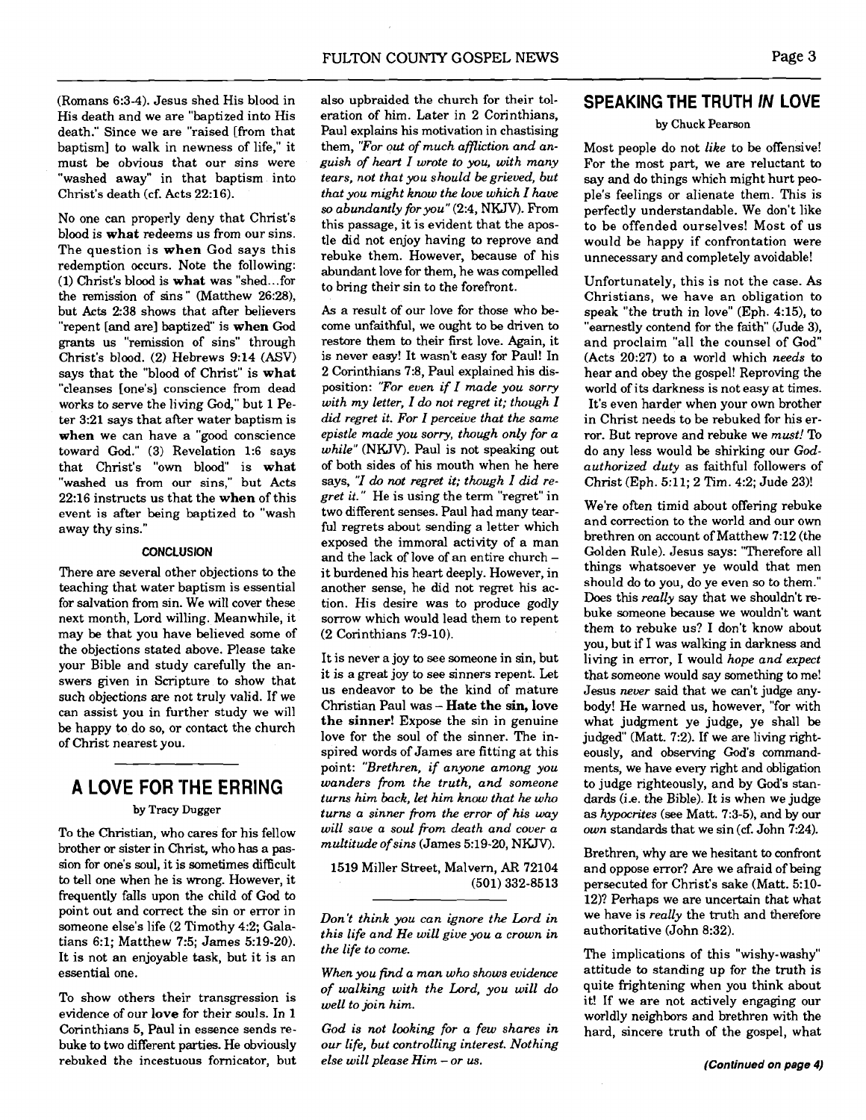(Romans 6:3-4). Jesus shed His blood in His death and we are "baptized into His death." Since we are "raised [from that baptism] to walk in newness of life," it must be obvious that our sins were "washed away" in that baptism into Christ's death (cf. Acts 22:16).

No one can properly deny that Christ's blood is what redeems us from our sins. The question is when God says this redemption occurs. Note the following: (1) Christ's blood is what was "shed.. .for the remission of sins" (Matthew 26:28), but Acts 238 shows that after believers "repent [and are] baptized' is when God grants us "remission of sins" through Christ's blood. (2) Hebrews 9:14 **(ASV)**  says that the "blood of Christ" is what "cleanses [one's] conscience from dead works to serve the living God," but 1 Peter 3:21 says that after water baptism is when we can have a "good conscience" toward **God."** (3) Revelation 1:6 says that Christ's "own blood" is what "washed us from our sins," but Acts 22:16 instructs us that the when of this event is after being baptized to "wash away thy sins."

#### **CONCLUSION**

There are several other objections to the teaching that water baptism is essential for salvation from sin. We will cover these next month, Lord willing. Meanwhile, it may be that you have believed some of the objections stated above. Please take your Bible and study carefully the answers given in Scripture to show that such objections are not truly valid. If we can assist you in further study we will be happy **to** do so, or contact the church of Christ nearest you.

# **A LOVE FOR 'THE ERRING**

#### by Tracy Dugger

To the Christian, who cares for his fellow brother or sister in Christ, who has a passion for one's soul, it is sometimes difficult to tell one when he is wrong. However, it frequently falls upon the child of **God** to point out and correct the sin or error in someone else's life (2 Timothy 4:2; Galatians 6:l; Matthew 7:5; James 5:19-20). It is not an enjoyable task, but it is an essential one.

To show others their transgression is evidence of our love for their souls. In 1 Corinthians 5, Paul in essence sends rebuke to two different parties. He obviously rebuked the incestuous fornicator, but also upbraided the church for their toleration of him. Later in 2 Corinthians. Paul explains his motivation in chastising them, *"For out of much affliction and anguish of heart I wrote to you, with many tears, not that you should begrieved, but that you might know the love which I have so abundantly for you"* (2:4, NKJV). From this passage, it is evident that the apostle did not enjoy having to reprove and rebuke them. However. because of his abundant love for them, he was compelled to bring their sin to the forefront.

As a result of our love for those who become unfaithful, we ought to be driven to restore them to their first love. Again, it is never easy! It wasn't easy for Paul! In 2 Corinthians 7:8, Paul explained his disposition: *"For even if I made you sorry with my letter, I* **do** *not regret it; though I did regret it. For I perceive that the same epistfe made you sorry, though only for a while"* (NKJV). Paul is not speaking out of both sides of his mouth when he here says, **'7 I** *not regret it; though I did regret it."* He is using the term "regret" in two different senses. Paul had many tearful regrets about sending a letter which exposed the immoral activity of a man and the lack of love of an entire church it burdened his heart deeply. However, in another sense, he did not regret his action. His desire was to produce godly sorrow which would lead them to repent (2 Corinthians 7:9-10).

It is never a joy to see someone in sin, but it is a great joy to see sinners repent. Let us endeavor to be the kind of mature Christian Paul was - **Hate** the sin, love the sinner! Expose the sin in genuine love for the soul of the sinner. The inspired words of James are fitting at this point: *"Brethren, if anyone among you wanders from the truth, and someone turns him back, let him know that he who turns a sinner from the error of his way will save a soul from death and cover a multitude of sins* (James 519-20, NKJV).

1519 Miller Street, Malvern, **AR** 72104 (501) 332-8513

*Don't think you can ignore the Lord in this life and He will give you a crown in the life to come.* 

*When you find a man who shows evidence of walking with the Lord, you will do well to join him.* 

*God is not looking for a few shares in our life, but controlling interest. Nothing else will please Him -or us.* 

# **SPEAKING 'THE TRUTH IN LOVE**

#### by Chuck Pearson

Most people do not *like* to be offensive! For the most part, we are reluctant to say and do things which might hurt people's feelings or alienate them. This is perfectly understandable. We don't like to be offended ourselves! Most of us would be happy if confrontation were unnecessary and completely avoidable!

Unfortunately, this is not the case. As Christians, we have an obligation to speak "the truth in love" (Eph. 4:15), to "earnestly contend for the faith" (Jude 3). and proclaim "all the counsel of God" (Acts 20:27) to a world which *needs* to hear and obey the gospel! Reproving the world of its darkness is not easy at times. It's even harder when your own brother in Christ needs to be rebuked for his error. But reprove and rebuke we *mwt!* To do any less would be shirking our **God***authorized duty* as faithful followers of Christ (Eph. 5:ll; 2 Tim. 4:2; Jude 23)!

We're often timid about offering rebuke and correction to the world and our own brethren on account of Matthew 7:12 (the Golden Rule). Jesus says: "Therefore all things whatsoever ye would that men should do to you, do ye even so to them." Does this *really* say that we shouldn't rebuke someone because we wouldn't want them to rebuke us? I don't know about you, but if I was walking in darkness and living in error, I would *hope and expect*  that someone would say something to me! Jesus *never* said that we can't judge anybody! He warned us, however, "for with what judgment ye judge, ye shall be judged" (Matt. 7:2). If we are living righteously, and observing God's commandments, we have every right and obligation to judge righteously, and by God's standards (i.e. the Bible). It is when we judge as *hypocrites* (see Matt. 7:3-5). and by our *own* standards that we sin (cf. John 7:24).

Brethren, why are we hesitant to confront and oppose error? Are we afraid of being persecuted for Christ's sake (Matt. 5:lO-12)? Perhaps we are uncertain that what we have is *really* the truth and therefore authoritative (John 8:32).

The implications of this "wishy-washy" attitude to standing up for the truth is quite frightening when you think about it! If we are not actively engaging our worldly neighbors and brethren with the hard, sincere truth of the gospel, what